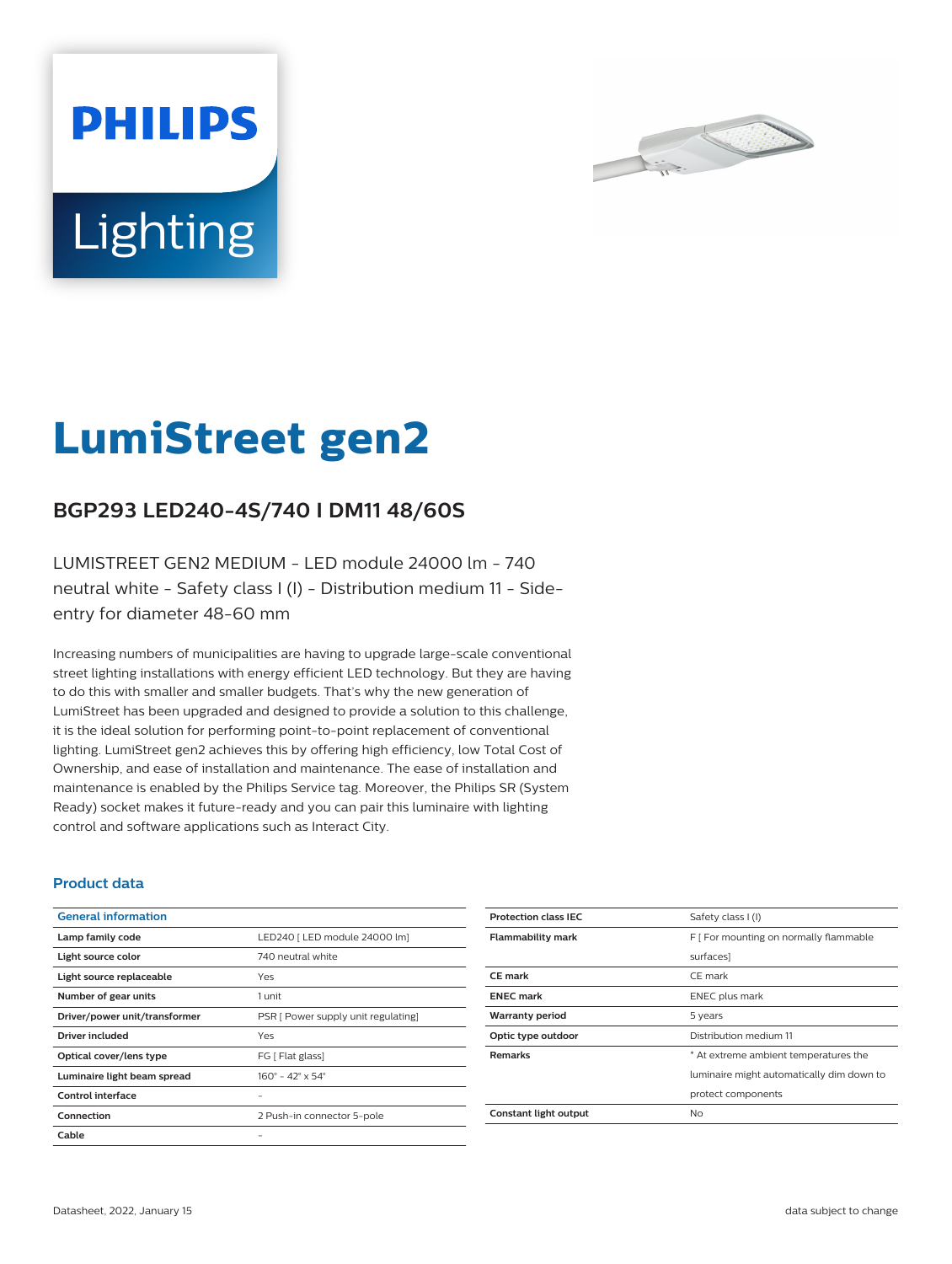



# **LumiStreet gen2**

## **BGP293 LED240-4S/740 I DM11 48/60S**

LUMISTREET GEN2 MEDIUM - LED module 24000 lm - 740 neutral white - Safety class I (I) - Distribution medium 11 - Sideentry for diameter 48-60 mm

Increasing numbers of municipalities are having to upgrade large-scale conventional street lighting installations with energy efficient LED technology. But they are having to do this with smaller and smaller budgets. That's why the new generation of LumiStreet has been upgraded and designed to provide a solution to this challenge, it is the ideal solution for performing point-to-point replacement of conventional lighting. LumiStreet gen2 achieves this by offering high efficiency, low Total Cost of Ownership, and ease of installation and maintenance. The ease of installation and maintenance is enabled by the Philips Service tag. Moreover, the Philips SR (System Ready) socket makes it future-ready and you can pair this luminaire with lighting control and software applications such as Interact City.

#### **Product data**

| <b>General information</b>    |                                     |
|-------------------------------|-------------------------------------|
| Lamp family code              | LED240   LED module 24000 lm]       |
| Light source color            | 740 neutral white                   |
| Light source replaceable      | Yes                                 |
| Number of gear units          | 1 unit                              |
| Driver/power unit/transformer | PSR [ Power supply unit regulating] |
| Driver included               | Yes                                 |
| Optical cover/lens type       | FG [ Flat glass]                    |
| Luminaire light beam spread   | $160^{\circ}$ – 42° x 54°           |
| Control interface             |                                     |
| Connection                    | 2 Push-in connector 5-pole          |
| Cable                         |                                     |

| <b>Protection class IEC</b> | Safety class I (I)                        |
|-----------------------------|-------------------------------------------|
| <b>Flammability mark</b>    | F   For mounting on normally flammable    |
|                             | surfaces]                                 |
| CF mark                     | CE mark                                   |
| <b>ENEC mark</b>            | <b>ENEC</b> plus mark                     |
| <b>Warranty period</b>      | 5 years                                   |
| Optic type outdoor          | Distribution medium 11                    |
| <b>Remarks</b>              | * At extreme ambient temperatures the     |
|                             | luminaire might automatically dim down to |
|                             | protect components                        |
| Constant light output       | No                                        |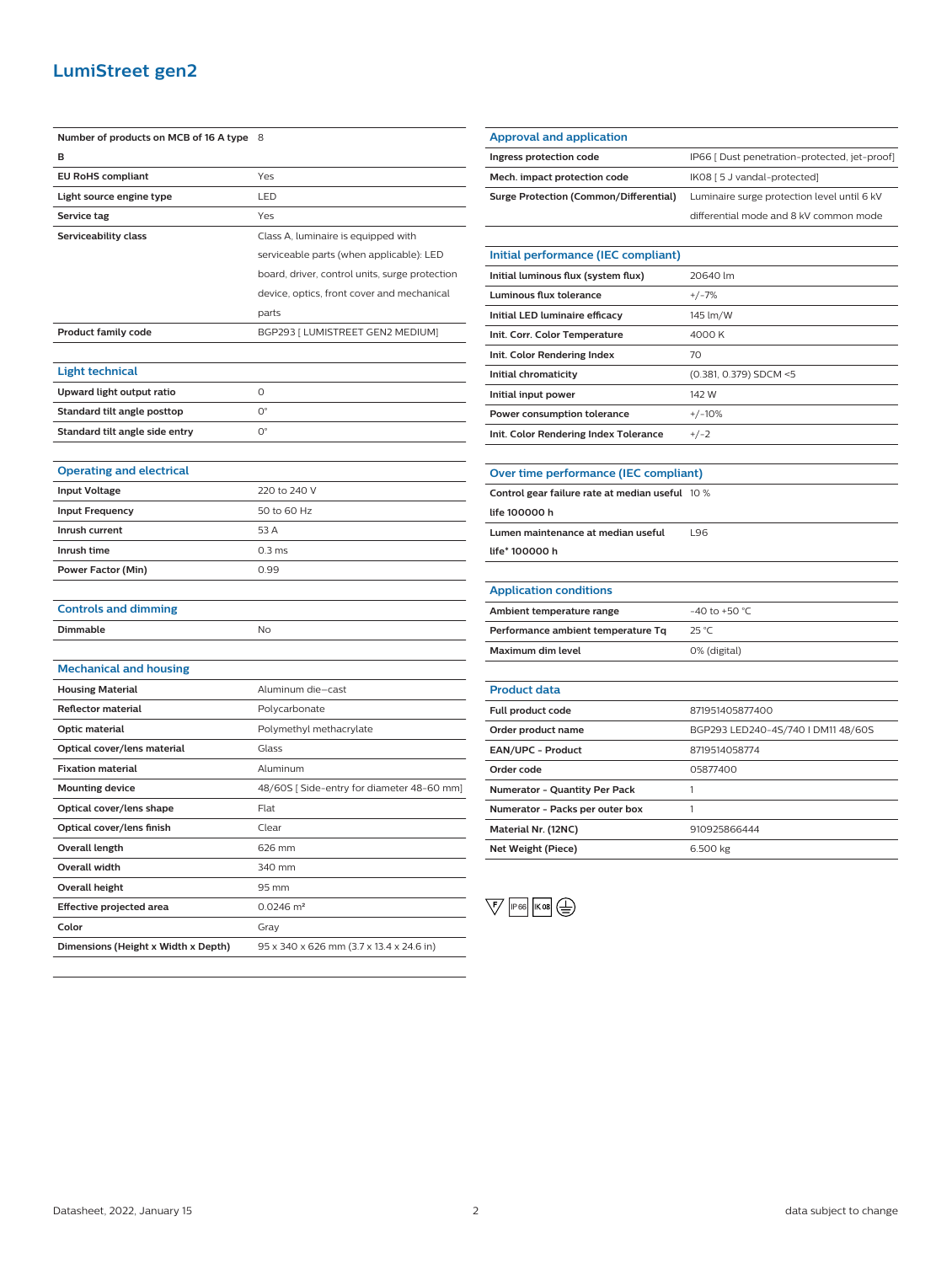## **LumiStreet gen2**

| Number of products on MCB of 16 A type | 8                                              |
|----------------------------------------|------------------------------------------------|
| в                                      |                                                |
| <b>EU RoHS compliant</b>               | Yes                                            |
| Light source engine type               | LED                                            |
| Service tag                            | Yes                                            |
| Serviceability class                   | Class A, luminaire is equipped with            |
|                                        | serviceable parts (when applicable): LED       |
|                                        | board, driver, control units, surge protection |
|                                        | device, optics, front cover and mechanical     |
|                                        | parts                                          |
| <b>Product family code</b>             | BGP293 [ LUMISTREET GEN2 MEDIUM]               |
|                                        |                                                |
| <b>Light technical</b>                 |                                                |
| Upward light output ratio              | O                                              |
| Standard tilt angle posttop            | $O^{\circ}$                                    |
| Standard tilt angle side entry         | О°                                             |
|                                        |                                                |
| <b>Operating and electrical</b>        |                                                |
| <b>Input Voltage</b>                   | 220 to 240 V                                   |
| <b>Input Frequency</b>                 | 50 to 60 Hz                                    |
| Inrush current                         | 53 A                                           |
| Inrush time                            | 0.3 <sub>ms</sub>                              |
| <b>Power Factor (Min)</b>              | 0.99                                           |
|                                        |                                                |
| <b>Controls and dimming</b>            |                                                |
| Dimmable                               | No                                             |
|                                        |                                                |
| <b>Mechanical and housing</b>          |                                                |
| <b>Housing Material</b>                | Aluminum die–cast                              |
| <b>Reflector material</b>              | Polycarbonate                                  |
| Optic material                         | Polymethyl methacrylate                        |
| Optical cover/lens material            | Glass                                          |
| <b>Fixation material</b>               | Aluminum                                       |
| <b>Mounting device</b>                 | 48/60S [Side-entry for diameter 48-60 mm]      |
| Optical cover/lens shape               | Flat                                           |
| Optical cover/lens finish              | Clear                                          |
| <b>Overall length</b>                  | 626 mm                                         |
| <b>Overall width</b>                   | 340 mm                                         |
| <b>Overall height</b>                  | 95 mm                                          |
| <b>Effective projected area</b>        | $0.0246$ m <sup>2</sup>                        |
| Color                                  | Gray                                           |
| Dimensions (Height x Width x Depth)    | 95 x 340 x 626 mm (3.7 x 13.4 x 24.6 in)       |

| <b>Approval and application</b>               |                                               |
|-----------------------------------------------|-----------------------------------------------|
| Ingress protection code                       | IP66 [ Dust penetration-protected, jet-proof] |
| Mech. impact protection code                  | IK08 [ 5 J vandal-protected]                  |
| <b>Surge Protection (Common/Differential)</b> | Luminaire surge protection level until 6 kV   |
|                                               | differential mode and 8 kV common mode        |
|                                               |                                               |
| Initial performance (IEC compliant)           |                                               |
| Initial luminous flux (system flux)           | 20640 lm                                      |
| Luminous flux tolerance                       | $+/-7%$                                       |
| Initial LED luminaire efficacy                | 145 lm/W                                      |
| Init. Corr. Color Temperature                 | 4000 K                                        |
|                                               |                                               |

| Init. Corr. Color Temperature         | 4000 K                 |
|---------------------------------------|------------------------|
| Init. Color Rendering Index           | 70                     |
| Initial chromaticity                  | (0.381, 0.379) SDCM <5 |
| Initial input power                   | 142 W                  |
| Power consumption tolerance           | $+/-10%$               |
| Init. Color Rendering Index Tolerance | $+/-2$                 |

| Control gear failure rate at median useful 10 % |     |
|-------------------------------------------------|-----|
| life 100000 h                                   |     |
| Lumen maintenance at median useful              | 196 |
| life* 100000 h                                  |     |
|                                                 |     |
| <b>Application conditions</b>                   |     |

**Over time performance (IEC compliant)**

| Ambient temperature range          | $-40$ to $+50$ °C. |
|------------------------------------|--------------------|
| Performance ambient temperature Tq | 25 °C              |
| Maximum dim level                  | 0% (digital)       |

| <b>Product data</b>                  |                                    |
|--------------------------------------|------------------------------------|
| <b>Full product code</b>             | 871951405877400                    |
| Order product name                   | BGP293 LED240-4S/740 I DM11 48/60S |
| <b>EAN/UPC - Product</b>             | 8719514058774                      |
| Order code                           | 05877400                           |
| <b>Numerator - Quantity Per Pack</b> |                                    |
| Numerator - Packs per outer box      |                                    |
| Material Nr. (12NC)                  | 910925866444                       |
| Net Weight (Piece)                   | 6.500 kg                           |